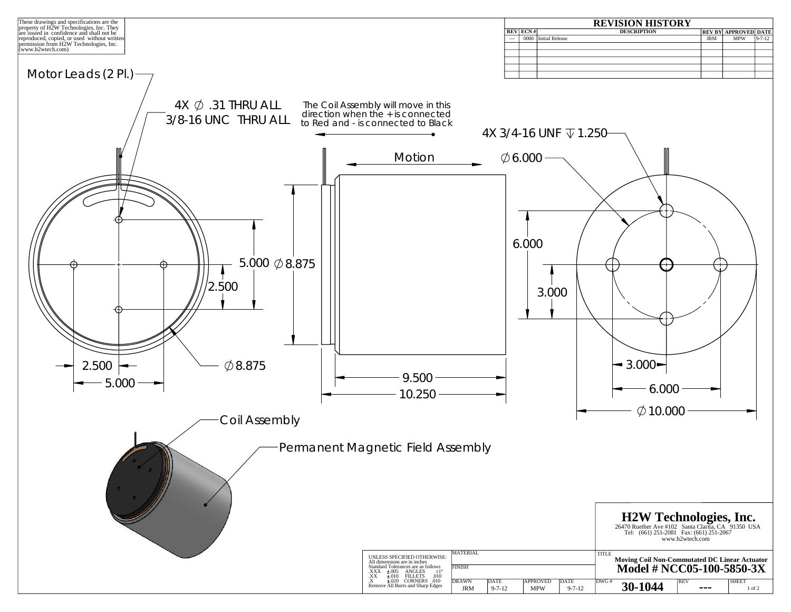